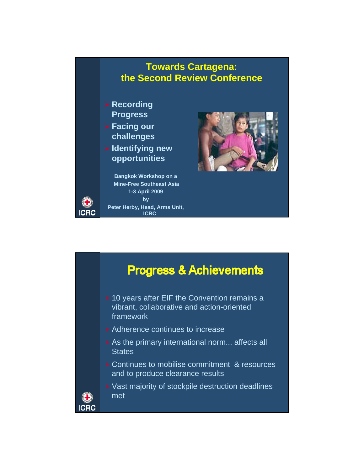## **Towards Cartagena: the Second Review Conference**

- ¾ **Recording Progress**
- ¾ **Facing our challenges**
- ¾ **Identifying new opportunities**

**Bangkok Workshop on a Mine-Free Southeast Asia 1-3 April 2009 by Peter Herby, Head, Arms Unit, ICRC**



## **Progress & Achievements**

- ▶ 10 years after EIF the Convention remains a vibrant, collaborative and action-oriented framework
- Adherence continues to increase
- As the primary international norm... affects all **States**
- ▶ Continues to mobilise commitment & resources and to produce clearance results
- ▶ Vast majority of stockpile destruction deadlines met

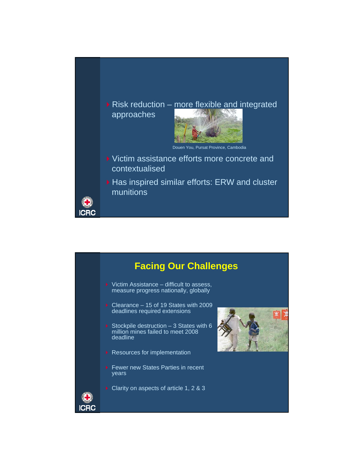